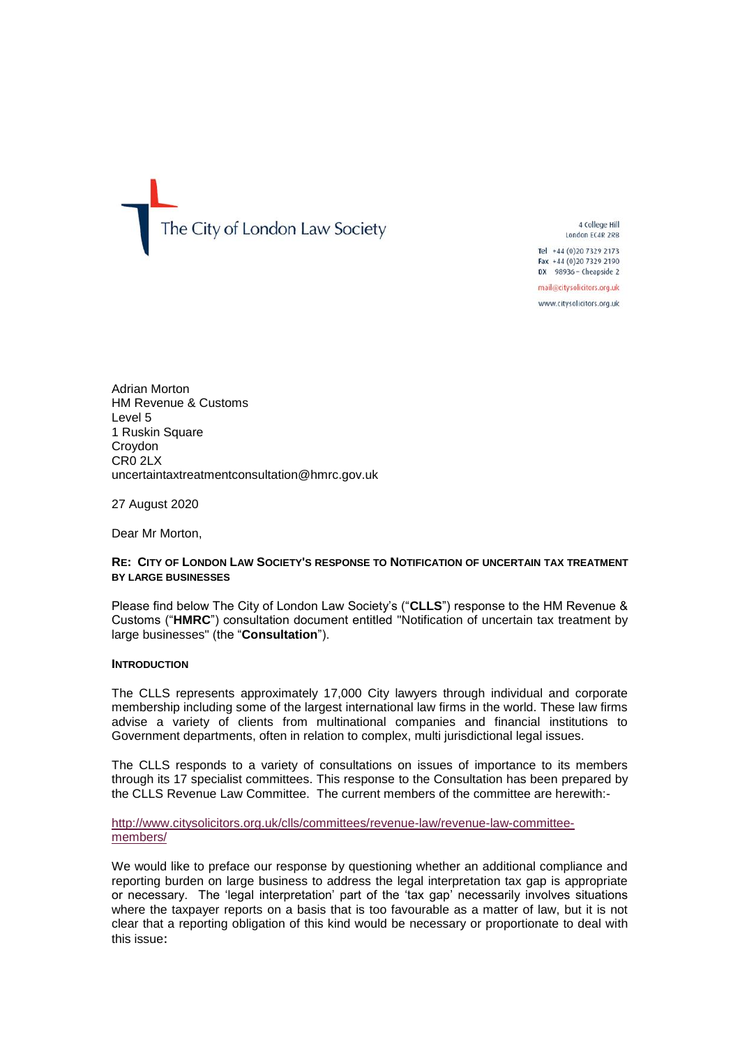The City of London Law Society

4 College Hill London EC4R 2RB

Tel +44 (0) 20 7329 2173 Fax +44 (0)20 7329 2190 DX 98936 - Cheapside 2

mail@citysolicitors.org.uk

www.citysolicitors.org.uk

Adrian Morton HM Revenue & Customs Level 5 1 Ruskin Square Croydon CR0 2LX uncertaintaxtreatmentconsultation@hmrc.gov.uk

27 August 2020

Dear Mr Morton,

#### **RE: CITY OF LONDON LAW SOCIETY'S RESPONSE TO NOTIFICATION OF UNCERTAIN TAX TREATMENT BY LARGE BUSINESSES**

Please find below The City of London Law Society's ("**CLLS**") response to the HM Revenue & Customs ("**HMRC**") consultation document entitled "Notification of uncertain tax treatment by large businesses" (the "**Consultation**").

#### **INTRODUCTION**

The CLLS represents approximately 17,000 City lawyers through individual and corporate membership including some of the largest international law firms in the world. These law firms advise a variety of clients from multinational companies and financial institutions to Government departments, often in relation to complex, multi jurisdictional legal issues.

The CLLS responds to a variety of consultations on issues of importance to its members through its 17 specialist committees. This response to the Consultation has been prepared by the CLLS Revenue Law Committee. The current members of the committee are herewith:-

#### [http://www.citysolicitors.org.uk/clls/committees/revenue-law/revenue-law-committee](http://www.citysolicitors.org.uk/clls/committees/revenue-law/revenue-law-committee-members/)[members/](http://www.citysolicitors.org.uk/clls/committees/revenue-law/revenue-law-committee-members/)

We would like to preface our response by questioning whether an additional compliance and reporting burden on large business to address the legal interpretation tax gap is appropriate or necessary. The 'legal interpretation' part of the 'tax gap' necessarily involves situations where the taxpayer reports on a basis that is too favourable as a matter of law, but it is not clear that a reporting obligation of this kind would be necessary or proportionate to deal with this issue: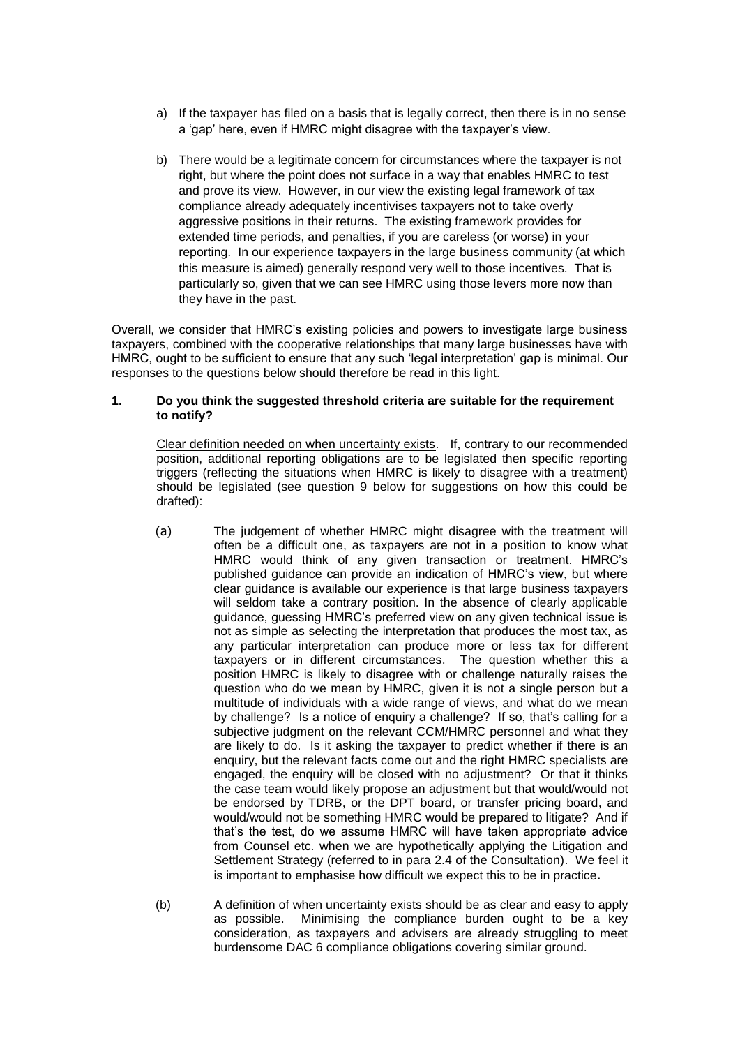- a) If the taxpayer has filed on a basis that is legally correct, then there is in no sense a 'gap' here, even if HMRC might disagree with the taxpayer's view.
- b) There would be a legitimate concern for circumstances where the taxpayer is not right, but where the point does not surface in a way that enables HMRC to test and prove its view. However, in our view the existing legal framework of tax compliance already adequately incentivises taxpayers not to take overly aggressive positions in their returns. The existing framework provides for extended time periods, and penalties, if you are careless (or worse) in your reporting. In our experience taxpayers in the large business community (at which this measure is aimed) generally respond very well to those incentives. That is particularly so, given that we can see HMRC using those levers more now than they have in the past.

Overall, we consider that HMRC's existing policies and powers to investigate large business taxpayers, combined with the cooperative relationships that many large businesses have with HMRC, ought to be sufficient to ensure that any such 'legal interpretation' gap is minimal. Our responses to the questions below should therefore be read in this light.

# **1. Do you think the suggested threshold criteria are suitable for the requirement to notify?**

Clear definition needed on when uncertainty exists. If, contrary to our recommended position, additional reporting obligations are to be legislated then specific reporting triggers (reflecting the situations when HMRC is likely to disagree with a treatment) should be legislated (see question 9 below for suggestions on how this could be drafted):

- (a) The judgement of whether HMRC might disagree with the treatment will often be a difficult one, as taxpayers are not in a position to know what HMRC would think of any given transaction or treatment. HMRC's published guidance can provide an indication of HMRC's view, but where clear guidance is available our experience is that large business taxpayers will seldom take a contrary position. In the absence of clearly applicable guidance, guessing HMRC's preferred view on any given technical issue is not as simple as selecting the interpretation that produces the most tax, as any particular interpretation can produce more or less tax for different taxpayers or in different circumstances. The question whether this a position HMRC is likely to disagree with or challenge naturally raises the question who do we mean by HMRC, given it is not a single person but a multitude of individuals with a wide range of views, and what do we mean by challenge? Is a notice of enquiry a challenge? If so, that's calling for a subjective judgment on the relevant CCM/HMRC personnel and what they are likely to do. Is it asking the taxpayer to predict whether if there is an enquiry, but the relevant facts come out and the right HMRC specialists are engaged, the enquiry will be closed with no adjustment? Or that it thinks the case team would likely propose an adjustment but that would/would not be endorsed by TDRB, or the DPT board, or transfer pricing board, and would/would not be something HMRC would be prepared to litigate? And if that's the test, do we assume HMRC will have taken appropriate advice from Counsel etc. when we are hypothetically applying the Litigation and Settlement Strategy (referred to in para 2.4 of the Consultation). We feel it is important to emphasise how difficult we expect this to be in practice.
- (b) A definition of when uncertainty exists should be as clear and easy to apply as possible. Minimising the compliance burden ought to be a key consideration, as taxpayers and advisers are already struggling to meet burdensome DAC 6 compliance obligations covering similar ground.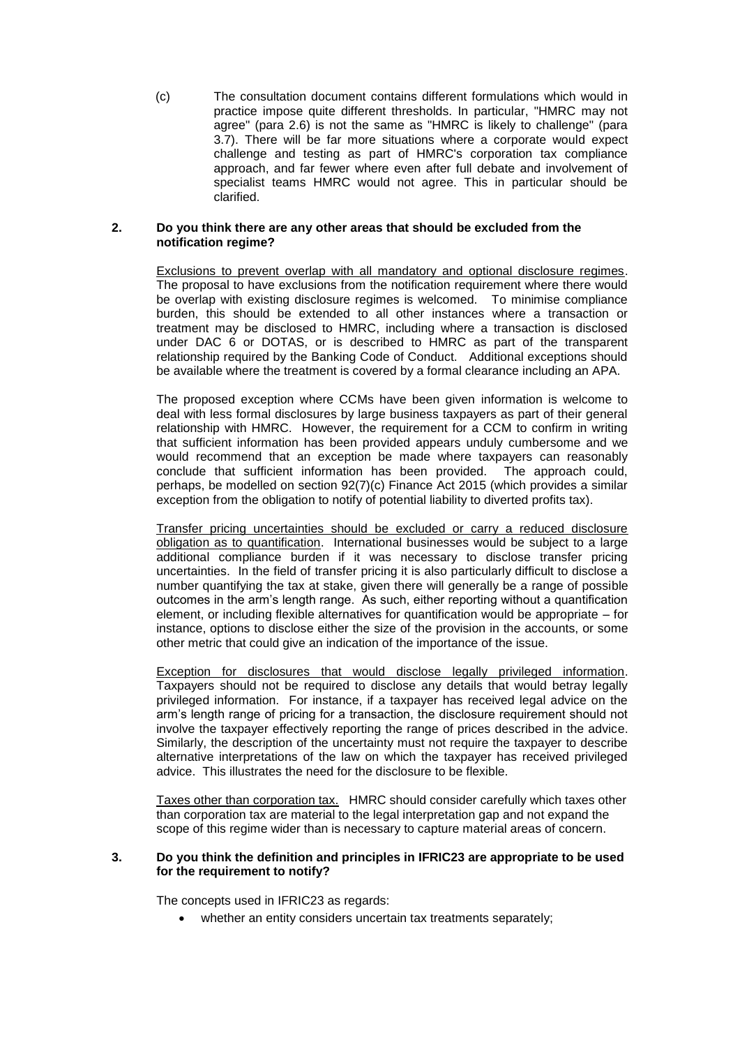(c) The consultation document contains different formulations which would in practice impose quite different thresholds. In particular, "HMRC may not agree" (para 2.6) is not the same as "HMRC is likely to challenge" (para 3.7). There will be far more situations where a corporate would expect challenge and testing as part of HMRC's corporation tax compliance approach, and far fewer where even after full debate and involvement of specialist teams HMRC would not agree. This in particular should be clarified.

## **2. Do you think there are any other areas that should be excluded from the notification regime?**

Exclusions to prevent overlap with all mandatory and optional disclosure regimes. The proposal to have exclusions from the notification requirement where there would be overlap with existing disclosure regimes is welcomed. To minimise compliance burden, this should be extended to all other instances where a transaction or treatment may be disclosed to HMRC, including where a transaction is disclosed under DAC 6 or DOTAS, or is described to HMRC as part of the transparent relationship required by the Banking Code of Conduct. Additional exceptions should be available where the treatment is covered by a formal clearance including an APA.

The proposed exception where CCMs have been given information is welcome to deal with less formal disclosures by large business taxpayers as part of their general relationship with HMRC. However, the requirement for a CCM to confirm in writing that sufficient information has been provided appears unduly cumbersome and we would recommend that an exception be made where taxpayers can reasonably conclude that sufficient information has been provided. The approach could, perhaps, be modelled on section 92(7)(c) Finance Act 2015 (which provides a similar exception from the obligation to notify of potential liability to diverted profits tax).

Transfer pricing uncertainties should be excluded or carry a reduced disclosure obligation as to quantification. International businesses would be subject to a large additional compliance burden if it was necessary to disclose transfer pricing uncertainties. In the field of transfer pricing it is also particularly difficult to disclose a number quantifying the tax at stake, given there will generally be a range of possible outcomes in the arm's length range. As such, either reporting without a quantification element, or including flexible alternatives for quantification would be appropriate – for instance, options to disclose either the size of the provision in the accounts, or some other metric that could give an indication of the importance of the issue.

Exception for disclosures that would disclose legally privileged information. Taxpayers should not be required to disclose any details that would betray legally privileged information. For instance, if a taxpayer has received legal advice on the arm's length range of pricing for a transaction, the disclosure requirement should not involve the taxpayer effectively reporting the range of prices described in the advice. Similarly, the description of the uncertainty must not require the taxpayer to describe alternative interpretations of the law on which the taxpayer has received privileged advice. This illustrates the need for the disclosure to be flexible.

Taxes other than corporation tax. HMRC should consider carefully which taxes other than corporation tax are material to the legal interpretation gap and not expand the scope of this regime wider than is necessary to capture material areas of concern.

## **3. Do you think the definition and principles in IFRIC23 are appropriate to be used for the requirement to notify?**

The concepts used in IFRIC23 as regards:

whether an entity considers uncertain tax treatments separately;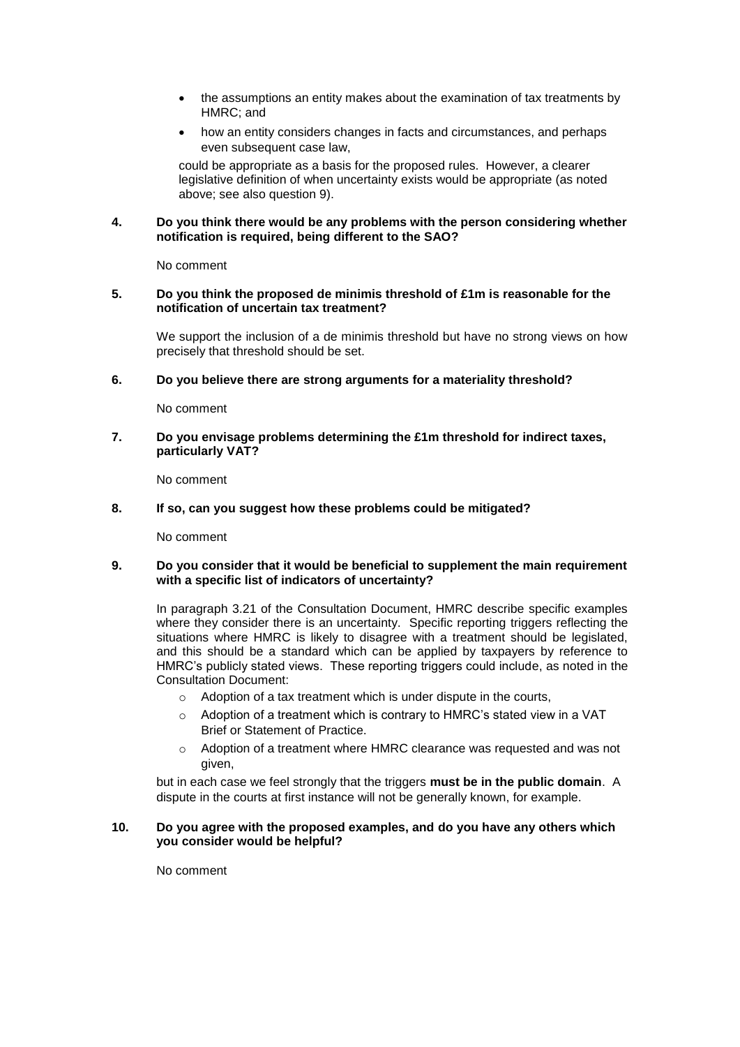- the assumptions an entity makes about the examination of tax treatments by HMRC; and
- how an entity considers changes in facts and circumstances, and perhaps even subsequent case law.

could be appropriate as a basis for the proposed rules. However, a clearer legislative definition of when uncertainty exists would be appropriate (as noted above; see also question 9).

# **4. Do you think there would be any problems with the person considering whether notification is required, being different to the SAO?**

No comment

# **5. Do you think the proposed de minimis threshold of £1m is reasonable for the notification of uncertain tax treatment?**

We support the inclusion of a de minimis threshold but have no strong views on how precisely that threshold should be set.

**6. Do you believe there are strong arguments for a materiality threshold?** 

No comment

**7. Do you envisage problems determining the £1m threshold for indirect taxes, particularly VAT?** 

No comment

# **8. If so, can you suggest how these problems could be mitigated?**

No comment

# **9. Do you consider that it would be beneficial to supplement the main requirement with a specific list of indicators of uncertainty?**

In paragraph 3.21 of the Consultation Document, HMRC describe specific examples where they consider there is an uncertainty. Specific reporting triggers reflecting the situations where HMRC is likely to disagree with a treatment should be legislated, and this should be a standard which can be applied by taxpayers by reference to HMRC's publicly stated views. These reporting triggers could include, as noted in the Consultation Document:

- o Adoption of a tax treatment which is under dispute in the courts,
- $\circ$  Adoption of a treatment which is contrary to HMRC's stated view in a VAT Brief or Statement of Practice.
- o Adoption of a treatment where HMRC clearance was requested and was not given,

but in each case we feel strongly that the triggers **must be in the public domain**. A dispute in the courts at first instance will not be generally known, for example.

## **10. Do you agree with the proposed examples, and do you have any others which you consider would be helpful?**

No comment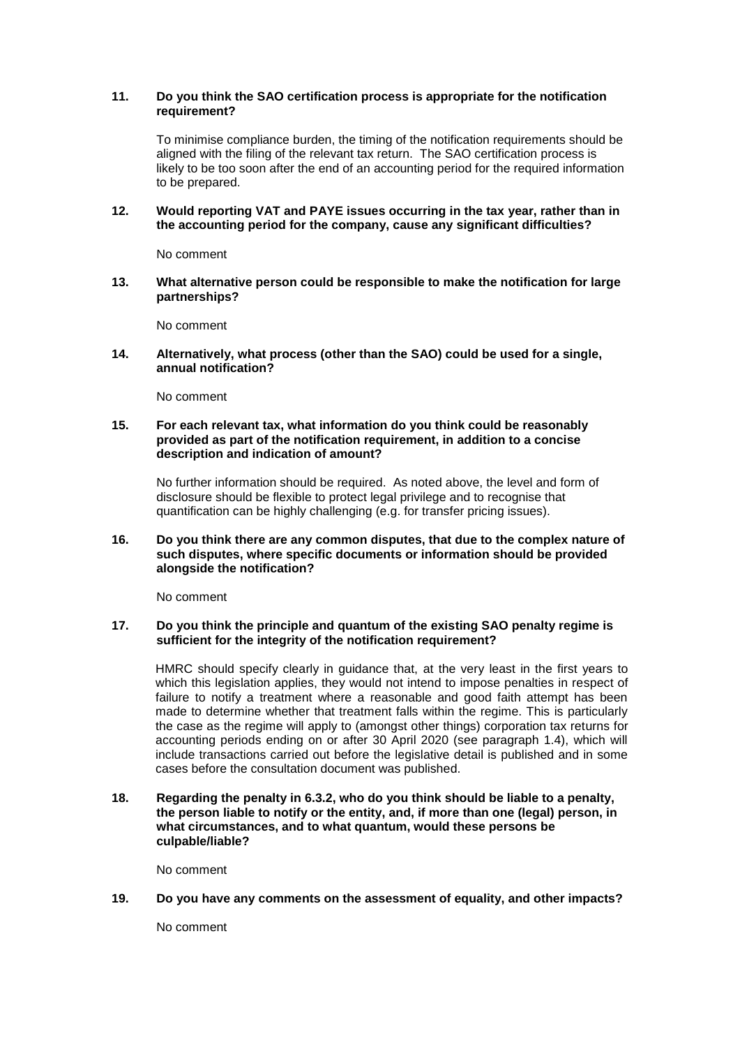# **11. Do you think the SAO certification process is appropriate for the notification requirement?**

To minimise compliance burden, the timing of the notification requirements should be aligned with the filing of the relevant tax return. The SAO certification process is likely to be too soon after the end of an accounting period for the required information to be prepared.

**12. Would reporting VAT and PAYE issues occurring in the tax year, rather than in the accounting period for the company, cause any significant difficulties?** 

No comment

**13. What alternative person could be responsible to make the notification for large partnerships?** 

No comment

**14. Alternatively, what process (other than the SAO) could be used for a single, annual notification?** 

No comment

# **15. For each relevant tax, what information do you think could be reasonably provided as part of the notification requirement, in addition to a concise description and indication of amount?**

No further information should be required. As noted above, the level and form of disclosure should be flexible to protect legal privilege and to recognise that quantification can be highly challenging (e.g. for transfer pricing issues).

## **16. Do you think there are any common disputes, that due to the complex nature of such disputes, where specific documents or information should be provided alongside the notification?**

No comment

## **17. Do you think the principle and quantum of the existing SAO penalty regime is sufficient for the integrity of the notification requirement?**

HMRC should specify clearly in guidance that, at the very least in the first years to which this legislation applies, they would not intend to impose penalties in respect of failure to notify a treatment where a reasonable and good faith attempt has been made to determine whether that treatment falls within the regime. This is particularly the case as the regime will apply to (amongst other things) corporation tax returns for accounting periods ending on or after 30 April 2020 (see paragraph 1.4), which will include transactions carried out before the legislative detail is published and in some cases before the consultation document was published.

**18. Regarding the penalty in 6.3.2, who do you think should be liable to a penalty, the person liable to notify or the entity, and, if more than one (legal) person, in what circumstances, and to what quantum, would these persons be culpable/liable?** 

No comment

**19. Do you have any comments on the assessment of equality, and other impacts?**

No comment